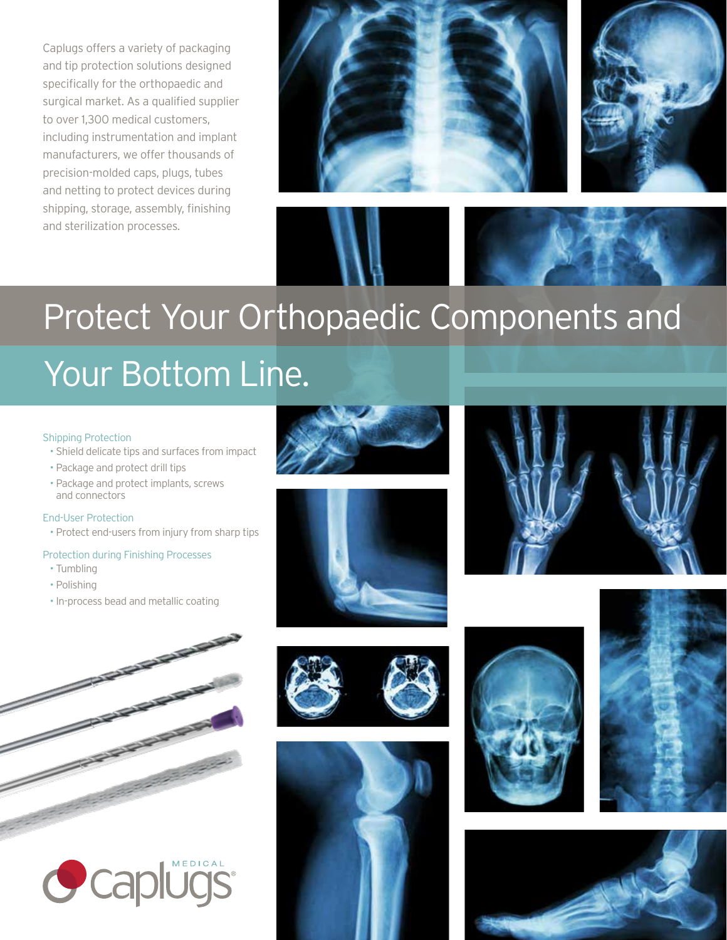Caplugs offers a variety of packaging and tip protection solutions designed specifically for the orthopaedic and surgical market. As a qualified supplier to over 1,300 medical customers, including instrumentation and implant manufacturers, we offer thousands of precision-molded caps, plugs, tubes and netting to protect devices during shipping, storage, assembly, finishing and sterilization processes.





# Protect Your Orthopaedic Components and

## Your Bottom Line.

### Shipping Protection

- Shield delicate tips and surfaces from impact
- Package and protect drill tips
- Package and protect implants, screws and connectors

### End-User Protection

• Protect end-users from injury from sharp tips

### Protection during Finishing Processes

- Tumbling
- Polishing
- In-process bead and metallic coating



















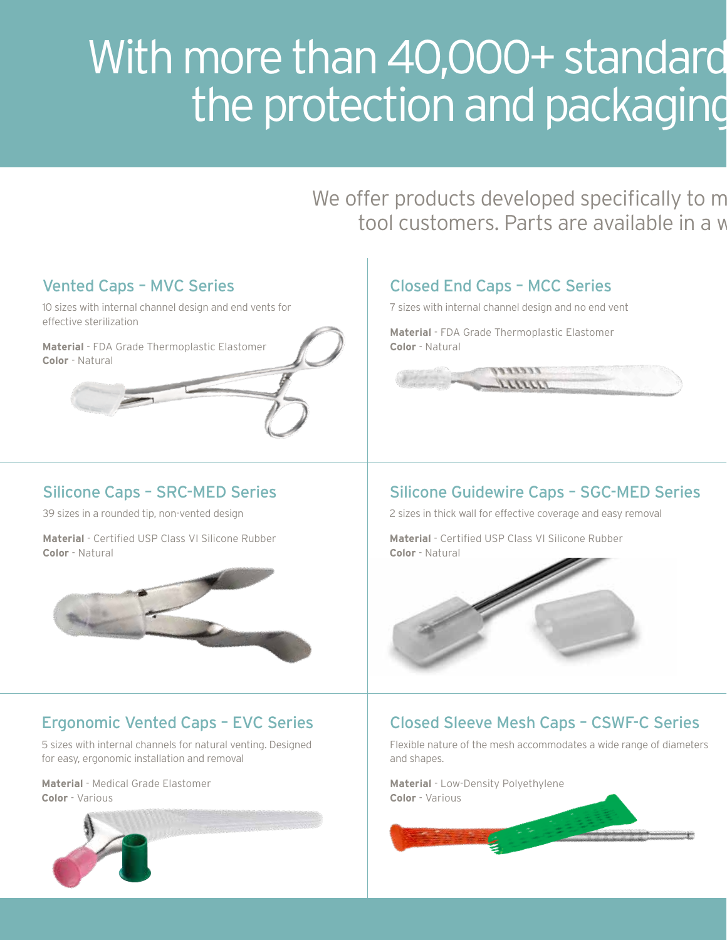# With more than 40,000+ standard the protection and packaging

We offer products developed specifically to m tool customers. Parts are available in a w





## Ergonomic Vented Caps – EVC Series

5 sizes with internal channels for natural venting. Designed for easy, ergonomic installation and removal

**Material** - Medical Grade Elastomer **Color** - Various





### Closed Sleeve Mesh Caps – CSWF-C Series

Flexible nature of the mesh accommodates a wide range of diameters and shapes.

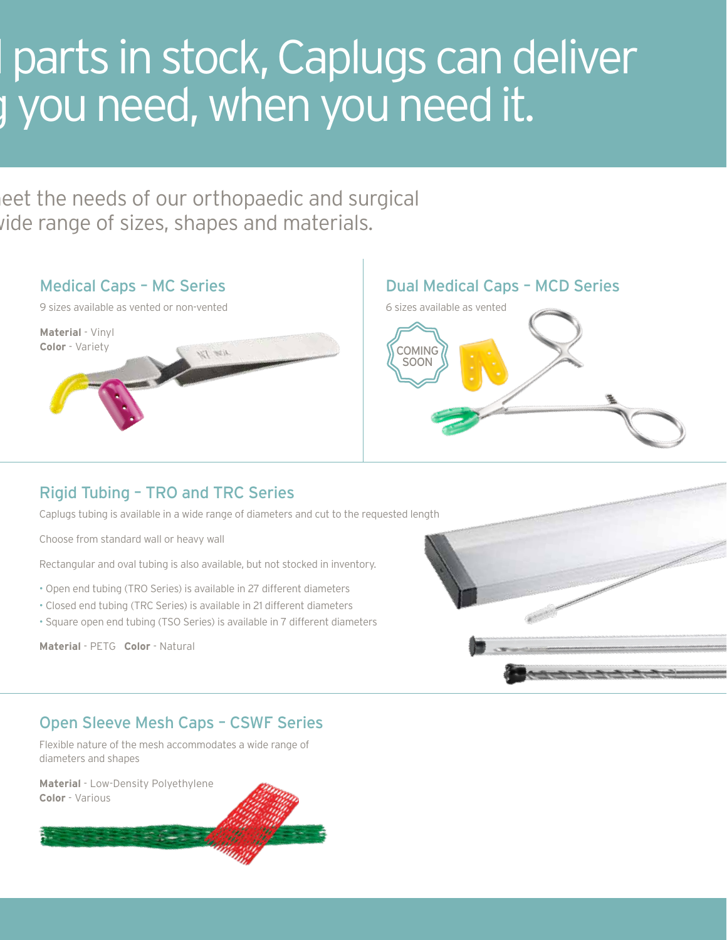# parts in stock, Caplugs can deliver the protection when you need it.

eet the needs of our orthopaedic and surgical ide range of sizes, shapes and materials.



## Rigid Tubing – TRO and TRC Series

Caplugs tubing is available in a wide range of diameters and cut to the requested length

Choose from standard wall or heavy wall

Rectangular and oval tubing is also available, but not stocked in inventory.

- Open end tubing (TRO Series) is available in 27 different diameters
- Closed end tubing (TRC Series) is available in 21 different diameters
- Square open end tubing (TSO Series) is available in 7 different diameters

**Material** - PETG **Color** - Natural



### Open Sleeve Mesh Caps – CSWF Series

Flexible nature of the mesh accommodates a wide range of diameters and shapes

**Material** - Low-Density Polyethylene **Color** - Various